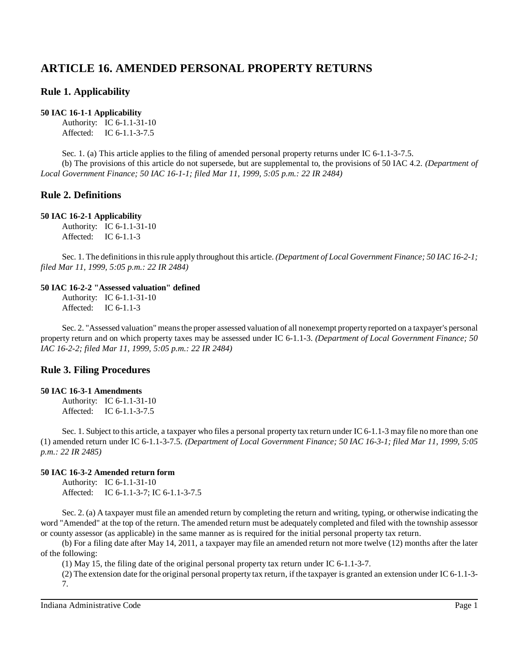# **ARTICLE 16. AMENDED PERSONAL PROPERTY RETURNS**

## **Rule 1. Applicability**

#### **50 IAC 16-1-1 Applicability**

Authority: IC 6-1.1-31-10 Affected: IC 6-1.1-3-7.5

Sec. 1. (a) This article applies to the filing of amended personal property returns under IC 6-1.1-3-7.5. (b) The provisions of this article do not supersede, but are supplemental to, the provisions of 50 IAC 4.2. *(Department of Local Government Finance; 50 IAC 16-1-1; filed Mar 11, 1999, 5:05 p.m.: 22 IR 2484)*

## **Rule 2. Definitions**

#### **50 IAC 16-2-1 Applicability**

Authority: IC 6-1.1-31-10 Affected: IC 6-1.1-3

Sec. 1. The definitionsin thisrule apply throughout this article. *(Department of Local Government Finance; 50 IAC 16-2-1; filed Mar 11, 1999, 5:05 p.m.: 22 IR 2484)*

#### **50 IAC 16-2-2 "Assessed valuation" defined**

Authority: IC 6-1.1-31-10 Affected: IC 6-1.1-3

Sec. 2. "Assessed valuation" meansthe proper assessed valuation of all nonexempt propertyreported on a taxpayer's personal property return and on which property taxes may be assessed under IC 6-1.1-3. *(Department of Local Government Finance; 50 IAC 16-2-2; filed Mar 11, 1999, 5:05 p.m.: 22 IR 2484)*

## **Rule 3. Filing Procedures**

#### **50 IAC 16-3-1 Amendments**

Authority: IC 6-1.1-31-10 Affected: IC 6-1.1-3-7.5

Sec. 1. Subject to this article, a taxpayer who files a personal property tax return under IC 6-1.1-3 may file no more than one (1) amended return under IC 6-1.1-3-7.5. *(Department of Local Government Finance; 50 IAC 16-3-1; filed Mar 11, 1999, 5:05 p.m.: 22 IR 2485)*

#### **50 IAC 16-3-2 Amended return form**

Authority: IC 6-1.1-31-10 Affected: IC 6-1.1-3-7; IC 6-1.1-3-7.5

Sec. 2. (a) A taxpayer must file an amended return by completing the return and writing, typing, or otherwise indicating the word "Amended" at the top of the return. The amended return must be adequately completed and filed with the township assessor or county assessor (as applicable) in the same manner as is required for the initial personal property tax return.

(b) For a filing date after May 14, 2011, a taxpayer may file an amended return not more twelve (12) months after the later of the following:

(1) May 15, the filing date of the original personal property tax return under IC 6-1.1-3-7.

(2) The extension date for the original personal property tax return, if the taxpayer is granted an extension under IC 6-1.1-3- 7.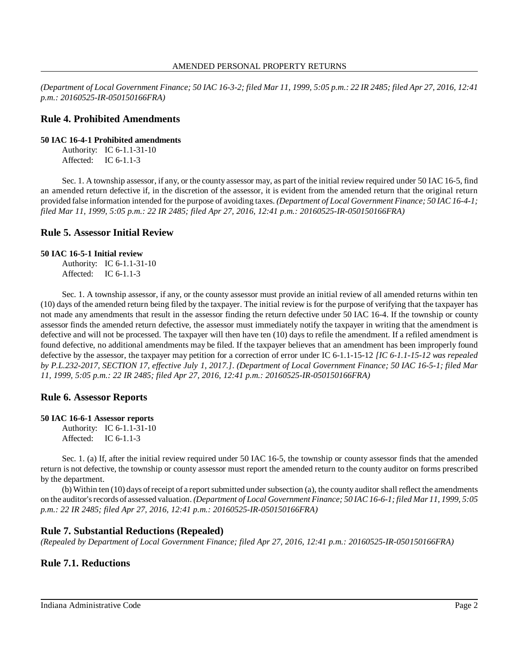(Department of Local Government Finance; 50 IAC 16-3-2; filed Mar 11, 1999, 5:05 p.m.: 22 IR 2485; filed Apr 27, 2016, 12:41 *p.m.: 20160525-IR-050150166FRA)*

#### **Rule 4. Prohibited Amendments**

**50 IAC 16-4-1 Prohibited amendments**

Authority: IC 6-1.1-31-10 Affected: IC 6-1.1-3

Sec. 1. A township assessor, if any, or the county assessor may, as part of the initial review required under 50 IAC 16-5, find an amended return defective if, in the discretion of the assessor, it is evident from the amended return that the original return provided false information intended for the purpose of avoiding taxes. *(Department of Local Government Finance; 50 IAC 16-4-1; filed Mar 11, 1999, 5:05 p.m.: 22 IR 2485; filed Apr 27, 2016, 12:41 p.m.: 20160525-IR-050150166FRA)*

#### **Rule 5. Assessor Initial Review**

#### **50 IAC 16-5-1 Initial review**

Authority: IC 6-1.1-31-10 Affected: IC 6-1.1-3

Sec. 1. A township assessor, if any, or the county assessor must provide an initial review of all amended returns within ten (10) days of the amended return being filed by the taxpayer. The initial review is for the purpose of verifying that the taxpayer has not made any amendments that result in the assessor finding the return defective under 50 IAC 16-4. If the township or county assessor finds the amended return defective, the assessor must immediately notify the taxpayer in writing that the amendment is defective and will not be processed. The taxpayer will then have ten (10) days to refile the amendment. If a refiled amendment is found defective, no additional amendments may be filed. If the taxpayer believes that an amendment has been improperly found defective by the assessor, the taxpayer may petition for a correction of error under IC 6-1.1-15-12 *[IC 6-1.1-15-12 was repealed by P.L.232-2017, SECTION 17, effective July 1, 2017.]*. *(Department of Local Government Finance; 50 IAC 16-5-1; filed Mar 11, 1999, 5:05 p.m.: 22 IR 2485; filed Apr 27, 2016, 12:41 p.m.: 20160525-IR-050150166FRA)*

#### **Rule 6. Assessor Reports**

```
50 IAC 16-6-1 Assessor reports
Authority: IC 6-1.1-31-10
Affected: IC 6-1.1-3
```
Sec. 1. (a) If, after the initial review required under 50 IAC 16-5, the township or county assessor finds that the amended return is not defective, the township or county assessor must report the amended return to the county auditor on forms prescribed by the department.

(b) Within ten (10) days ofreceipt of a reportsubmitted under subsection (a), the county auditor shall reflect the amendments on the auditor'srecords of assessed valuation. *(Department of Local Government Finance; 50 IAC 16-6-1; filed Mar 11, 1999, 5:05 p.m.: 22 IR 2485; filed Apr 27, 2016, 12:41 p.m.: 20160525-IR-050150166FRA)*

#### **Rule 7. Substantial Reductions (Repealed)**

*(Repealed by Department of Local Government Finance; filed Apr 27, 2016, 12:41 p.m.: 20160525-IR-050150166FRA)*

### **Rule 7.1. Reductions**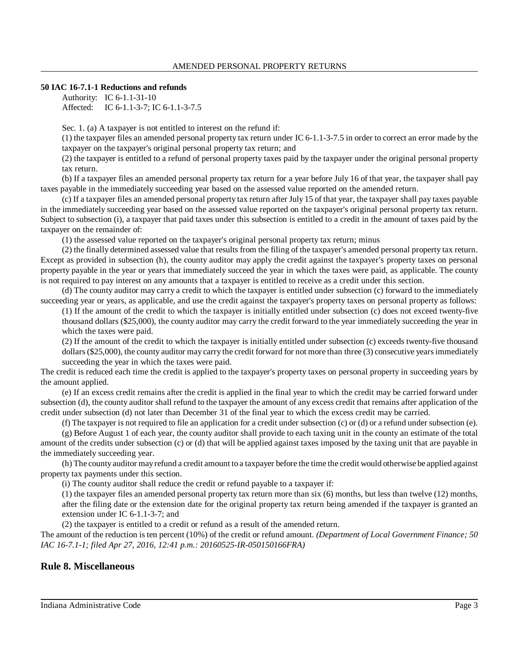#### **50 IAC 16-7.1-1 Reductions and refunds**

Authority: IC 6-1.1-31-10 Affected: IC 6-1.1-3-7; IC 6-1.1-3-7.5

Sec. 1. (a) A taxpayer is not entitled to interest on the refund if:

(1) the taxpayer files an amended personal property tax return under IC 6-1.1-3-7.5 in order to correct an error made by the taxpayer on the taxpayer's original personal property tax return; and

(2) the taxpayer is entitled to a refund of personal property taxes paid by the taxpayer under the original personal property tax return.

(b) If a taxpayer files an amended personal property tax return for a year before July 16 of that year, the taxpayer shall pay taxes payable in the immediately succeeding year based on the assessed value reported on the amended return.

(c) If a taxpayer files an amended personal property tax return after July 15 of that year, the taxpayer shall pay taxes payable in the immediately succeeding year based on the assessed value reported on the taxpayer's original personal property tax return. Subject to subsection (i), a taxpayer that paid taxes under this subsection is entitled to a credit in the amount of taxes paid by the taxpayer on the remainder of:

(1) the assessed value reported on the taxpayer's original personal property tax return; minus

(2) the finally determined assessed value that results from the filing of the taxpayer's amended personal property tax return. Except as provided in subsection (h), the county auditor may apply the credit against the taxpayer's property taxes on personal property payable in the year or years that immediately succeed the year in which the taxes were paid, as applicable. The county is not required to pay interest on any amounts that a taxpayer is entitled to receive as a credit under this section.

(d) The county auditor may carry a credit to which the taxpayer is entitled under subsection (c) forward to the immediately succeeding year or years, as applicable, and use the credit against the taxpayer's property taxes on personal property as follows:

(1) If the amount of the credit to which the taxpayer is initially entitled under subsection (c) does not exceed twenty-five thousand dollars (\$25,000), the county auditor may carry the credit forward to the year immediately succeeding the year in which the taxes were paid.

(2) If the amount of the credit to which the taxpayer is initially entitled under subsection (c) exceeds twenty-five thousand dollars (\$25,000), the county auditor may carry the credit forward for not more than three (3) consecutive years immediately succeeding the year in which the taxes were paid.

The credit is reduced each time the credit is applied to the taxpayer's property taxes on personal property in succeeding years by the amount applied.

(e) If an excess credit remains after the credit is applied in the final year to which the credit may be carried forward under subsection (d), the county auditor shall refund to the taxpayer the amount of any excess credit that remains after application of the credit under subsection (d) not later than December 31 of the final year to which the excess credit may be carried.

(f) The taxpayer is not required to file an application for a credit under subsection (c) or (d) or a refund under subsection (e).

(g) Before August 1 of each year, the county auditor shall provide to each taxing unit in the county an estimate of the total amount of the credits under subsection (c) or (d) that will be applied against taxes imposed by the taxing unit that are payable in the immediately succeeding year.

(h) The countyauditor mayrefund a credit amount to a taxpayer before the time the credit would otherwise be applied against property tax payments under this section.

(i) The county auditor shall reduce the credit or refund payable to a taxpayer if:

(1) the taxpayer files an amended personal property tax return more than six (6) months, but less than twelve (12) months, after the filing date or the extension date for the original property tax return being amended if the taxpayer is granted an extension under IC 6-1.1-3-7; and

(2) the taxpayer is entitled to a credit or refund as a result of the amended return.

The amount of the reduction is ten percent (10%) of the credit or refund amount. *(Department of Local Government Finance; 50 IAC 16-7.1-1; filed Apr 27, 2016, 12:41 p.m.: 20160525-IR-050150166FRA)*

### **Rule 8. Miscellaneous**